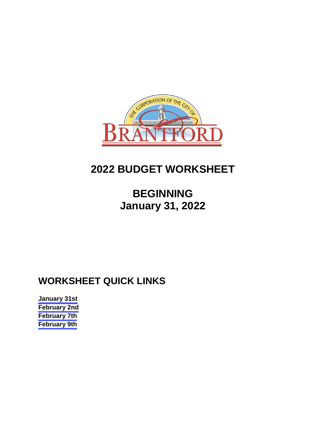

## **2022 BUDGET WORKSHEET**

## **BEGINNING January 31, 2022**

### **WORKSHEET QUICK LINKS**

**[January 31st](#page-1-0) [February 2nd](#page-6-0) [February 7th](#page-10-0) [February 9th](#page-14-0)**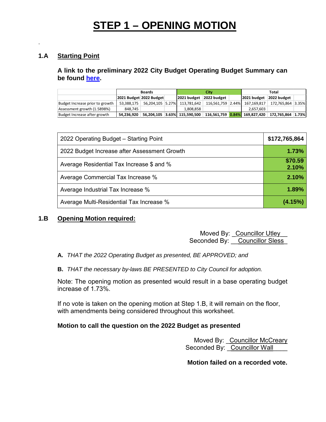## **STEP 1 – OPENING MOTION**

### **1.A Starting Point**

<span id="page-1-0"></span>.

**A link to the preliminary 2022 City Budget Operating Budget Summary can be found [here.](https://www.brantford.ca/en/your-government/resources/Documents/Budget/2022-PreliminaryOperatingBudget.pdf)** 

|                                 | <b>Boards</b>           |  |  | City                         |             |  | Total                         |                   |  |
|---------------------------------|-------------------------|--|--|------------------------------|-------------|--|-------------------------------|-------------------|--|
|                                 | 2021 Budget 2022 Budget |  |  | 2021 budget                  | 2022 budget |  | 2021 budget 2022 budget       |                   |  |
| Budget Increase prior to growth | 53.388.175              |  |  | 56.204.105 5.27% 113.781.642 |             |  | 116,561,759 2.44% 167,169,817 | 172.765.864 3.35% |  |
| Assessment growth (1.5898%)     | 848.745                 |  |  | 1.808.858                    |             |  | 2.657.603                     |                   |  |
| Budget Increase after growth    | 54,236,920              |  |  | 56,204,105 3.63% 115,590,500 |             |  | 116.561.759 0.84% 169.827.420 | 172.765.864 1.73% |  |

| 2022 Operating Budget - Starting Point       | \$172,765,864    |
|----------------------------------------------|------------------|
| 2022 Budget Increase after Assessment Growth | 1.73%            |
| Average Residential Tax Increase \$ and %    | \$70.59<br>2.10% |
| Average Commercial Tax Increase %            | 2.10%            |
| Average Industrial Tax Increase %            | 1.89%            |
| Average Multi-Residential Tax Increase %     | (4.15%)          |

### **1.B Opening Motion required:**

Moved By: Councillor Utley Seconded By: Councillor Sless

**A.** *THAT the 2022 Operating Budget as presented, BE APPROVED; and*

**B.** *THAT the necessary by-laws BE PRESENTED to City Council for adoption.*

Note: The opening motion as presented would result in a base operating budget increase of 1.73%.

If no vote is taken on the opening motion at Step 1.B, it will remain on the floor, with amendments being considered throughout this worksheet.

### **Motion to call the question on the 2022 Budget as presented**

Moved By: Councillor McCreary Seconded By: Councillor Wall

**Motion failed on a recorded vote.**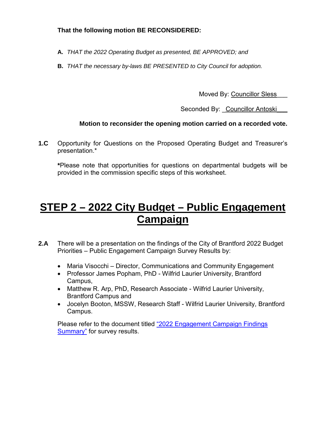### **That the following motion BE RECONSIDERED:**

- **A.** *THAT the 2022 Operating Budget as presented, BE APPROVED; and*
- **B.** *THAT the necessary by-laws BE PRESENTED to City Council for adoption.*

Moved By: Councillor Sless

Seconded By: Councillor Antoski

### **Motion to reconsider the opening motion carried on a recorded vote.**

**1.C** Opportunity for Questions on the Proposed Operating Budget and Treasurer's presentation.\*

**\***Please note that opportunities for questions on departmental budgets will be provided in the commission specific steps of this worksheet.

## **STEP 2 – 2022 City Budget – Public Engagement Campaign**

- **2.A** There will be a presentation on the findings of the City of Brantford 2022 Budget Priorities – Public Engagement Campaign Survey Results by:
	- Maria Visocchi Director, Communications and Community Engagement
	- Professor James Popham, PhD Wilfrid Laurier University, Brantford Campus,
	- Matthew R. Arp, PhD, Research Associate Wilfrid Laurier University, Brantford Campus and
	- Jocelyn Booton, MSSW, Research Staff Wilfrid Laurier University, Brantford Campus.

Please refer to the document titled ["2022 Engagement Campaign Findings](https://forms.brantford.ca/pdfs/2022%20Engagement%20Campaign%20Findings.pdf)  [Summary"](https://forms.brantford.ca/pdfs/2022%20Engagement%20Campaign%20Findings.pdf) for survey results.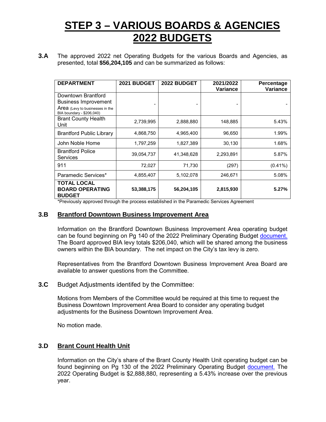### **STEP 3 – VARIOUS BOARDS & AGENCIES 2022 BUDGETS**

**3.A** The approved 2022 net Operating Budgets for the various Boards and Agencies, as presented, total **\$56,204,105** and can be summarized as follows:

| <b>DEPARTMENT</b>                                                                                                 | 2021 BUDGET | 2022 BUDGET | 2021/2022<br>Variance | Percentage<br>Variance |
|-------------------------------------------------------------------------------------------------------------------|-------------|-------------|-----------------------|------------------------|
| Downtown Brantford<br><b>Business Improvement</b><br>Area (Levy to businesses in the<br>BIA boundary - \$206,040) |             |             |                       |                        |
| <b>Brant County Health</b><br>Unit                                                                                | 2,739,995   | 2,888,880   | 148,885               | 5.43%                  |
| <b>Brantford Public Library</b>                                                                                   | 4,868,750   | 4,965,400   | 96,650                | 1.99%                  |
| John Noble Home                                                                                                   | 1,797,259   | 1,827,389   | 30,130                | 1.68%                  |
| <b>Brantford Police</b><br><b>Services</b>                                                                        | 39,054,737  | 41,348,628  | 2,293,891             | 5.87%                  |
| 911                                                                                                               | 72,027      | 71,730      | (297)                 | $(0.41\%)$             |
| Paramedic Services*                                                                                               | 4,855,407   | 5,102,078   | 246,671               | 5.08%                  |
| <b>TOTAL LOCAL</b><br><b>BOARD OPERATING</b><br><b>BUDGET</b>                                                     | 53,388,175  | 56,204,105  | 2,815,930             | 5.27%                  |

\*Previously approved through the process established in the Paramedic Services Agreement

#### **3.B Brantford Downtown Business Improvement Area**

Information on the Brantford Downtown Business Improvement Area operating budget can be found beginning on Pg 140 of the 2022 Preliminary Operating Budget [document.](https://www.brantford.ca/en/your-government/resources/Documents/Budget/2022-PreliminaryOperatingBudget.pdf#page=140) The Board approved BIA levy totals \$206,040, which will be shared among the business owners within the BIA boundary. The net impact on the City's tax levy is zero.

Representatives from the Brantford Downtown Business Improvement Area Board are available to answer questions from the Committee.

**3.C** Budget Adjustments identifed by the Committee:

Motions from Members of the Committee would be required at this time to request the Business Downtown Improvement Area Board to consider any operating budget adjustments for the Business Downtown Improvement Area.

No motion made.

#### **3.D Brant Count Health Unit**

Information on the City's share of the Brant County Health Unit operating budget can be found beginning on Pg 130 of the 2022 Preliminary Operating Budget [document.](https://www.brantford.ca/en/your-government/resources/Documents/Budget/2022-PreliminaryOperatingBudget.pdf#page=130) The 2022 Operating Budget is \$2,888,880, representing a 5.43% increase over the previous year.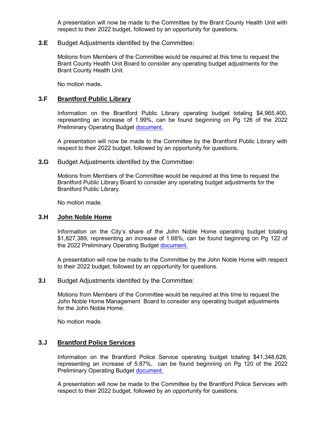A presentation will now be made to the Committee by the Brant County Health Unit with respect to their 2022 budget, followed by an opportunity for questions.

#### **3.E** Budget Adjustments identifed by the Committee:

Motions from Members of the Committee would be required at this time to request the Brant County Health Unit Board to consider any operating budget adjustments for the Brant County Health Unit.

No motion made**.** 

#### **3.F Brantford Public Library**

 Information on the Brantford Public Library operating budget totaling \$4,965,400, representing an increase of 1.99%, can be found beginning on Pg 126 of the 2022 Preliminary Operating Budget [document.](https://www.brantford.ca/en/your-government/resources/Documents/Budget/2022-PreliminaryOperatingBudget.pdf#page=126)

A presentation will now be made to the Committee by the Brantford Public Library with respect to their 2022 budget, followed by an opportunity for questions.

**3.G** Budget Adjustments identifed by the Committee:

Motions from Members of the Committee would be required at this time to request the Brantford Public Library Board to consider any operating budget adjustments for the Brantford Public Library.

No motion made.

#### **3.H John Noble Home**

Information on the City's share of the John Noble Home operating budget totaling \$1,827,389, representing an increase of 1.68%, can be found beginning on Pg 122 of the 2022 Preliminary Operating Budget [document.](https://www.brantford.ca/en/your-government/resources/Documents/Budget/2022-PreliminaryOperatingBudget.pdf#page=122)

A presentation will now be made to the Committee by the John Noble Home with respect to their 2022 budget, followed by an opportunity for questions.

**3.I** Budget Adjustments identifed by the Committee:

Motions from Members of the Committee would be required at this time to request the John Noble Home Management Board to consider any operating budget adjustments for the John Noble Home.

No motion made.

### **3.J Brantford Police Services**

Information on the Brantford Police Service operating budget totaling \$41,348,628, representing an increase of 5.87%, can be found beginning on Pg 120 of the 2022 Preliminary Operating Budget [document.](https://www.brantford.ca/en/your-government/resources/Documents/Budget/2022-PreliminaryOperatingBudget.pdf#page=120)

A presentation will now be made to the Committee by the Brantford Police Services with respect to their 2022 budget, followed by an opportunity for questions.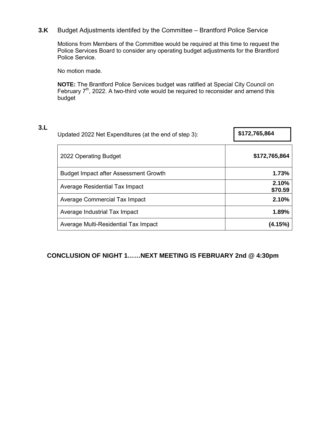### **3.K** Budget Adjustments identifed by the Committee – Brantford Police Service

Motions from Members of the Committee would be required at this time to request the Police Services Board to consider any operating budget adjustments for the Brantford Police Service.

No motion made.

**NOTE:** The Brantford Police Services budget was ratified at Special City Council on February  $7<sup>th</sup>$ , 2022. A two-third vote would be required to reconsider and amend this budget

| 3.L | Updated 2022 Net Expenditures (at the end of step 3): | \$172,765,864    |  |
|-----|-------------------------------------------------------|------------------|--|
|     | 2022 Operating Budget                                 | \$172,765,864    |  |
|     | <b>Budget Impact after Assessment Growth</b>          | 1.73%            |  |
|     | Average Residential Tax Impact                        | 2.10%<br>\$70.59 |  |
|     | Average Commercial Tax Impact                         | 2.10%            |  |
|     | Average Industrial Tax Impact                         | 1.89%            |  |
|     | Average Multi-Residential Tax Impact                  | (4.15%)          |  |

### **CONCLUSION OF NIGHT 1……NEXT MEETING IS FEBRUARY 2nd @ 4:30pm**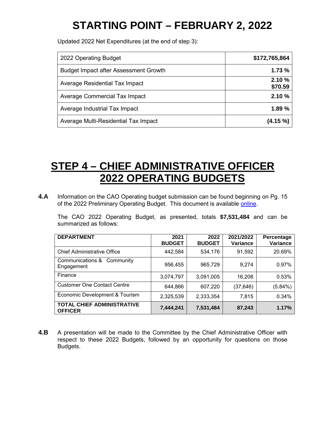# **STARTING POINT – FEBRUARY 2, 2022**

<span id="page-6-0"></span>Updated 2022 Net Expenditures (at the end of step 3):

| 2022 Operating Budget                        | \$172,765,864    |
|----------------------------------------------|------------------|
| <b>Budget Impact after Assessment Growth</b> | 1.73%            |
| Average Residential Tax Impact               | 2.10%<br>\$70.59 |
| Average Commercial Tax Impact                | 2.10%            |
| Average Industrial Tax Impact                | 1.89%            |
| Average Multi-Residential Tax Impact         | $(4.15\%)$       |

## **STEP 4 – CHIEF ADMINISTRATIVE OFFICER 2022 OPERATING BUDGETS**

**4.A** Information on the CAO Operating budget submission can be found beginning on Pg. 15 of the 2022 Preliminary Operating Budget. This document is available [online.](https://www.brantford.ca/en/your-government/resources/Documents/Budget/2022-PreliminaryOperatingBudget.pdf#page=15)

The CAO 2022 Operating Budget, as presented, totals **\$7,531,484** and can be summarized as follows:

| <b>DEPARTMENT</b>                                   | 2021<br><b>BUDGET</b> | 2022<br><b>BUDGET</b> | 2021/2022<br>Variance | Percentage<br>Variance |
|-----------------------------------------------------|-----------------------|-----------------------|-----------------------|------------------------|
| <b>Chief Administrative Office</b>                  | 442,584               | 534,176               | 91,592                | 20.69%                 |
| Communications &<br>Community<br>Engagement         | 956,455               | 965,729               | 9,274                 | 0.97%                  |
| Finance                                             | 3,074,797             | 3,091,005             | 16,208                | 0.53%                  |
| <b>Customer One Contact Centre</b>                  | 644,866               | 607,220               | (37, 646)             | (5.84%)                |
| Economic Development & Tourism                      | 2,325,539             | 2,333,354             | 7,815                 | 0.34%                  |
| <b>TOTAL CHIEF ADMINISTRATIVE</b><br><b>OFFICER</b> | 7,444,241             | 7,531,484             | 87,243                | 1.17%                  |

**4.B** A presentation will be made to the Committee by the Chief Administrative Officer with respect to these 2022 Budgets, followed by an opportunity for questions on those Budgets.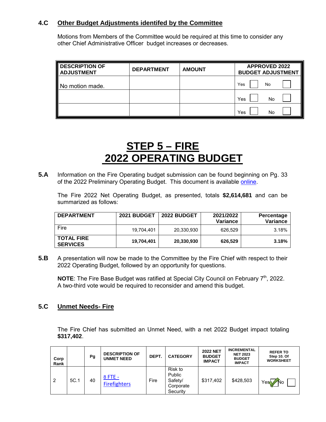### **4.C Other Budget Adjustments identifed by the Committee**

Motions from Members of the Committee would be required at this time to consider any other Chief Administrative Officer budget increases or decreases.

| <b>DESCRIPTION OF</b><br><b>ADJUSTMENT</b> | <b>DEPARTMENT</b> | <b>AMOUNT</b> | <b>APPROVED 2022</b><br><b>BUDGET ADJUSTMENT</b> |
|--------------------------------------------|-------------------|---------------|--------------------------------------------------|
| No motion made.                            |                   |               | No<br>Yes                                        |
|                                            |                   |               | Yes<br>No                                        |
|                                            |                   |               | Yes<br>No                                        |

### **STEP 5 – FIRE 2022 OPERATING BUDGET**

**5.A** Information on the Fire Operating budget submission can be found beginning on Pg. 33 of the 2022 Preliminary Operating Budget. This document is available [online.](https://www.brantford.ca/en/your-government/resources/Documents/Budget/2022-PreliminaryOperatingBudget.pdf#page=33)

The Fire 2022 Net Operating Budget, as presented, totals **\$2,614,681** and can be summarized as follows:

| <b>DEPARTMENT</b>                    | 2021 BUDGET | <b>2022 BUDGET</b> | 2021/2022<br>Variance | Percentage<br>Variance |
|--------------------------------------|-------------|--------------------|-----------------------|------------------------|
| Fire                                 | 19.704.401  | 20,330,930         | 626.529               | 3.18%                  |
| <b>TOTAL FIRE</b><br><b>SERVICES</b> | 19.704.401  | 20,330,930         | 626,529               | 3.18%                  |

**5.B** A presentation will now be made to the Committee by the Fire Chief with respect to their 2022 Operating Budget, followed by an opportunity for questions.

**NOTE:** The Fire Base Budget was ratified at Special City Council on February 7<sup>th</sup>, 2022. A two-third vote would be required to reconsider and amend this budget.

### **5.C Unmet Needs- Fire**

The Fire Chief has submitted an Unmet Need, with a net 2022 Budget impact totaling **\$317,402**.

| Corp<br>Rank   |      | Pg | <b>DESCRIPTION OF</b><br><b>UNMET NEED</b> | DEPT. | <b>CATEGORY</b>                                       | <b>2022 NET</b><br><b>BUDGET</b><br><b>IMPACT</b> | <b>INCREMENTAL</b><br><b>NET 2023</b><br><b>BUDGET</b><br><b>IMPACT</b> | <b>REFER TO</b><br>Step 10. Of<br><b>WORKSHEET</b> |
|----------------|------|----|--------------------------------------------|-------|-------------------------------------------------------|---------------------------------------------------|-------------------------------------------------------------------------|----------------------------------------------------|
| $\overline{2}$ | 5C.1 | 40 | 8 FTE -<br><b>Firefighters</b>             | Fire  | Risk to<br>Public<br>Safety/<br>Corporate<br>Security | \$317,402                                         | \$428,503                                                               | Yes<br><b>No</b>                                   |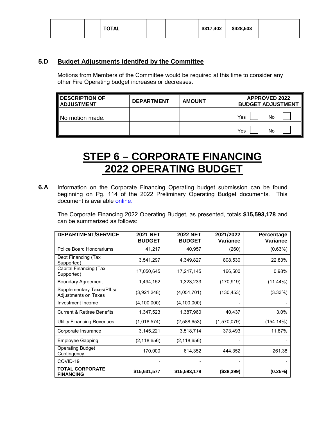|  |  |  | <b>TOTAL</b> |  |  | \$317,402 | \$428,503 |  |
|--|--|--|--------------|--|--|-----------|-----------|--|
|--|--|--|--------------|--|--|-----------|-----------|--|

### **5.D Budget Adjustments identifed by the Committee**

Motions from Members of the Committee would be required at this time to consider any other Fire Operating budget increases or decreases.

| <b>DESCRIPTION OF</b><br><b>ADJUSTMENT</b> | <b>DEPARTMENT</b> | <b>AMOUNT</b> | <b>APPROVED 2022</b><br><b>BUDGET ADJUSTMENT</b> |  |  |
|--------------------------------------------|-------------------|---------------|--------------------------------------------------|--|--|
| No motion made.                            |                   |               | No<br>Yes                                        |  |  |
|                                            |                   |               | No<br>Yes                                        |  |  |

### **STEP 6 – CORPORATE FINANCING 2022 OPERATING BUDGET**

**6.A** Information on the Corporate Financing Operating budget submission can be found beginning on Pg. 114 of the 2022 Preliminary Operating Budget documents. This document is available [online.](https://www.brantford.ca/en/your-government/resources/Documents/Budget/2022-PreliminaryOperatingBudget.pdf#page=114)

The Corporate Financing 2022 Operating Budget, as presented, totals **\$15,593,178** and can be summarized as follows:

| <b>DEPARTMENT/SERVICE</b>                                | <b>2021 NET</b><br><b>BUDGET</b> | <b>2022 NET</b><br><b>BUDGET</b> | 2021/2022<br>Variance | Percentage<br>Variance |
|----------------------------------------------------------|----------------------------------|----------------------------------|-----------------------|------------------------|
| <b>Police Board Honorariums</b>                          | 41,217                           | 40,957                           | (260)                 | (0.63%)                |
| Debt Financing (Tax<br>Supported)                        | 3,541,297                        | 4,349,827                        | 808,530               | 22.83%                 |
| Capital Financing (Tax<br>Supported)                     | 17,050,645                       | 17,217,145                       | 166,500               | 0.98%                  |
| <b>Boundary Agreement</b>                                | 1,494,152                        | 1,323,233                        | (170, 919)            | $(11.44\%)$            |
| Supplementary Taxes/PILs/<br><b>Adjustments on Taxes</b> | (3,921,248)                      | (4,051,701)                      | (130, 453)            | (3.33%)                |
| Investment Income                                        | (4, 100, 000)                    | (4,100,000)                      |                       |                        |
| <b>Current &amp; Retiree Benefits</b>                    | 1,347,523                        | 1,387,960                        | 40,437                | 3.0%                   |
| <b>Utility Financing Revenues</b>                        | (1,018,574)                      | (2,588,653)                      | (1,570,079)           | (154.14%)              |
| Corporate Insurance                                      | 3,145,221                        | 3,518,714                        | 373,493               | 11.87%                 |
| <b>Employee Gapping</b>                                  | (2, 118, 656)                    | (2, 118, 656)                    |                       |                        |
| <b>Operating Budget</b><br>Contingency                   | 170,000                          | 614,352                          | 444,352               | 261.38                 |
| COVID-19                                                 |                                  |                                  |                       |                        |
| <b>TOTAL CORPORATE</b><br><b>FINANCING</b>               | \$15,631,577                     | \$15,593,178                     | (\$38,399)            | (0.25%)                |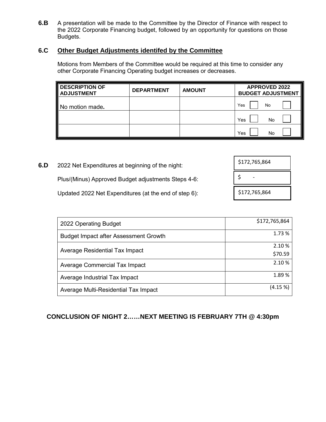**6.B** A presentation will be made to the Committee by the Director of Finance with respect to the 2022 Corporate Financing budget, followed by an opportunity for questions on those Budgets.

### **6.C Other Budget Adjustments identifed by the Committee**

Motions from Members of the Committee would be required at this time to consider any other Corporate Financing Operating budget increases or decreases.

| <b>DESCRIPTION OF</b><br><b>ADJUSTMENT</b> | <b>DEPARTMENT</b> | <b>AMOUNT</b> | <b>APPROVED 2022</b><br><b>BUDGET ADJUSTMENT</b> |  |
|--------------------------------------------|-------------------|---------------|--------------------------------------------------|--|
| No motion made.                            |                   |               | Yes<br>No                                        |  |
|                                            |                   |               | Yes<br>No                                        |  |
|                                            |                   |               | Yes<br>No                                        |  |

**6.D** 2022 Net Expenditures at beginning of the night:

Plus/(Minus) Approved Budget adjustments Steps 4-6:

Updated 2022 Net Expenditures (at the end of step 6):

| \$172,765,864 |
|---------------|
| \$            |
| \$172,765,864 |

| 2022 Operating Budget                        | \$172,765,864 |
|----------------------------------------------|---------------|
| <b>Budget Impact after Assessment Growth</b> | 1.73 %        |
|                                              | 2.10%         |
| Average Residential Tax Impact               | \$70.59       |
| Average Commercial Tax Impact                | 2.10%         |
| Average Industrial Tax Impact                | 1.89%         |
| Average Multi-Residential Tax Impact         | (4.15%        |

### **CONCLUSION OF NIGHT 2……NEXT MEETING IS FEBRUARY 7TH @ 4:30pm**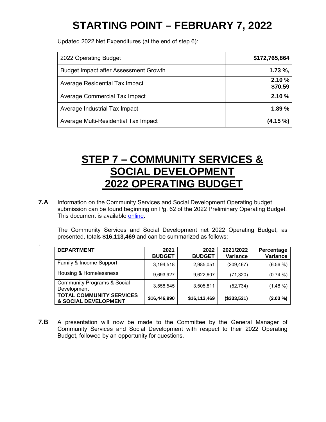# **STARTING POINT – FEBRUARY 7, 2022**

<span id="page-10-0"></span>Updated 2022 Net Expenditures (at the end of step 6):

,

| 2022 Operating Budget                        | \$172,765,864    |
|----------------------------------------------|------------------|
| <b>Budget Impact after Assessment Growth</b> | $1.73 \%$ ,      |
| Average Residential Tax Impact               | 2.10%<br>\$70.59 |
| Average Commercial Tax Impact                | 2.10%            |
| Average Industrial Tax Impact                | 1.89%            |
| Average Multi-Residential Tax Impact         | $(4.15\%)$       |

### **STEP 7 – COMMUNITY SERVICES & SOCIAL DEVELOPMENT 2022 OPERATING BUDGET**

**7.A** Information on the Community Services and Social Development Operating budget submission can be found beginning on Pg. 62 of the 2022 Preliminary Operating Budget. This document is available [online.](https://www.brantford.ca/en/your-government/resources/Documents/Budget/2022-PreliminaryOperatingBudget.pdf#page=62)

The Community Services and Social Development net 2022 Operating Budget, as presented, totals **\$16,113,469** and can be summarized as follows:

| <b>DEPARTMENT</b>                                                  | 2021<br><b>BUDGET</b> | 2022<br><b>BUDGET</b> | 2021/2022<br>Variance | Percentage<br>Variance |
|--------------------------------------------------------------------|-----------------------|-----------------------|-----------------------|------------------------|
| Family & Income Support                                            | 3,194,518             | 2,985,051             | (209, 467)            | $(6.56\%)$             |
| Housing & Homelessness                                             | 9,693,927             | 9,622,607             | (71, 320)             | $(0.74\%)$             |
| <b>Community Programs &amp; Social</b><br>Development              | 3,558,545             | 3,505,811             | (52, 734)             | $(1.48\%)$             |
| <b>TOTAL COMMUNITY SERVICES</b><br><b>&amp; SOCIAL DEVELOPMENT</b> | \$16,446,990          | \$16,113,469          | (\$333,521)           | $(2.03\%)$             |

**7.B** A presentation will now be made to the Committee by the General Manager of Community Services and Social Development with respect to their 2022 Operating Budget, followed by an opportunity for questions.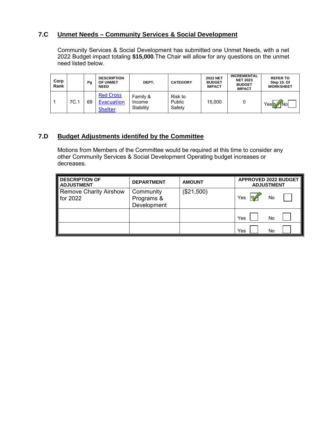### **7.C Unmet Needs – Community Services & Social Development**

Community Services & Social Development has submitted one Unmet Needs, with a net 2022 Budget impact totaling **\$15,000**.The Chair will allow for any questions on the unmet need listed below.

| Corp<br>Rank |      | Pg | <b>DESCRIPTION</b><br><b>OF UNMET</b><br><b>NEED</b> | DEPT.                           | <b>CATEGORY</b>             | <b>2022 NET</b><br><b>BUDGET</b><br><b>IMPACT</b> | <b>INCREMENTAL</b><br><b>NET 2023</b><br><b>BUDGET</b><br><b>IMPACT</b> | <b>REFER TO</b><br>Step 10. Of<br><b>WORKSHEET</b> |
|--------------|------|----|------------------------------------------------------|---------------------------------|-----------------------------|---------------------------------------------------|-------------------------------------------------------------------------|----------------------------------------------------|
|              | 7C.1 | 69 | <b>Red Cross</b><br>Evacuation<br><b>Shelter</b>     | Family &<br>Income<br>Stability | Risk to<br>Public<br>Safety | 15.000                                            | 0                                                                       | 1Nol<br>Yes.                                       |

### **7.D Budget Adjustments identifed by the Committee**

Motions from Members of the Committee would be required at this time to consider any other Community Services & Social Development Operating budget increases or decreases.

| <b>DESCRIPTION OF</b><br><b>ADJUSTMENT</b>  | <b>DEPARTMENT</b>                      | <b>AMOUNT</b> | <b>APPROVED 2022 BUDGET</b><br><b>ADJUSTMENT</b> |
|---------------------------------------------|----------------------------------------|---------------|--------------------------------------------------|
| <b>Remove Charity Airshow</b><br>for $2022$ | Community<br>Programs &<br>Development | (\$21,500)    | Yes<br>No                                        |
|                                             |                                        |               | Yes<br>No                                        |
|                                             |                                        |               | Yes<br>No                                        |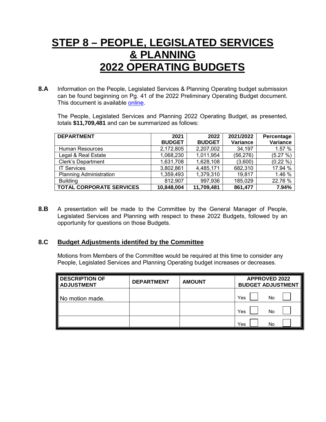### **STEP 8 – PEOPLE, LEGISLATED SERVICES & PLANNING 2022 OPERATING BUDGETS**

**8.A** Information on the People, Legislated Services & Planning Operating budget submission can be found beginning on Pg. 41 of the 2022 Preliminary Operating Budget document. This document is available [online.](https://www.brantford.ca/en/your-government/resources/Documents/Budget/2022-PreliminaryOperatingBudget.pdf#page=41)

The People, Legislated Services and Planning 2022 Operating Budget, as presented, totals **\$11,709,481** and can be summarized as follows:

| <b>DEPARTMENT</b>               | 2021          | 2022          | 2021/2022 | Percentage  |
|---------------------------------|---------------|---------------|-----------|-------------|
|                                 | <b>BUDGET</b> | <b>BUDGET</b> | Variance  | Variance    |
| <b>Human Resources</b>          | 2,172,805     | 2,207,002     | 34,197    | 1.57 %      |
| Legal & Real Estate             | 1,068,230     | 1,011,954     | (56, 276) | (5.27%)     |
| <b>Clerk's Department</b>       | 1,631,708     | 1,628,108     | (3,600)   | $(0.22\% )$ |
| <b>IT Services</b>              | 3,802,861     | 4,485,171     | 682,310   | 17.94 %     |
| <b>Planning Administration</b>  | 1,359,493     | 1,379,310     | 19,817    | 1.46 %      |
| <b>Building</b>                 | 812,907       | 997,936       | 185,029   | 22.76 %     |
| <b>TOTAL CORPORATE SERVICES</b> | 10,848,004    | 11,709,481    | 861,477   | 7.94%       |

**8.B** A presentation will be made to the Committee by the General Manager of People, Legislated Services and Planning with respect to these 2022 Budgets, followed by an opportunity for questions on those Budgets.

#### **8.C Budget Adjustments identifed by the Committee**

Motions from Members of the Committee would be required at this time to consider any People, Legislated Services and Planning Operating budget increases or decreases.

| <b>DESCRIPTION OF</b><br><b>ADJUSTMENT</b> | <b>DEPARTMENT</b> | <b>AMOUNT</b> | <b>APPROVED 2022</b><br><b>BUDGET ADJUSTMENT</b> |
|--------------------------------------------|-------------------|---------------|--------------------------------------------------|
| No motion made.                            |                   |               | Yes<br>No                                        |
|                                            |                   |               | Yes<br>No                                        |
|                                            |                   |               | Yes<br>No                                        |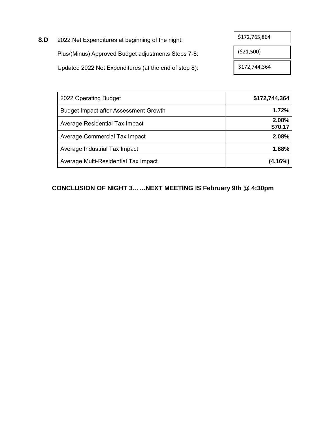| 8.D | 2022 Net Expenditures at beginning of the night:      | \$172,765,864 |
|-----|-------------------------------------------------------|---------------|
|     | Plus/(Minus) Approved Budget adjustments Steps 7-8:   | (521,500)     |
|     | Updated 2022 Net Expenditures (at the end of step 8): | \$172,744,364 |

| 2022 Operating Budget                        | \$172,744,364    |
|----------------------------------------------|------------------|
| <b>Budget Impact after Assessment Growth</b> | 1.72%            |
| Average Residential Tax Impact               | 2.08%<br>\$70.17 |
| Average Commercial Tax Impact                | 2.08%            |
| Average Industrial Tax Impact                | 1.88%            |
| Average Multi-Residential Tax Impact         | (4.16%)          |

### **CONCLUSION OF NIGHT 3……NEXT MEETING IS February 9th @ 4:30pm**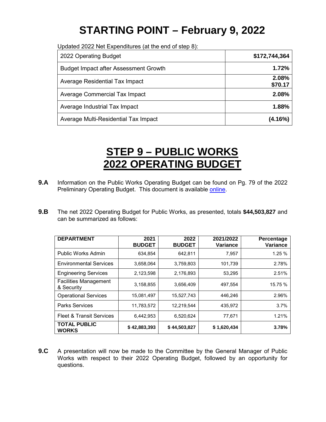# **STARTING POINT – February 9, 2022**

<span id="page-14-0"></span>Updated 2022 Net Expenditures (at the end of step 8):

| 2022 Operating Budget                        | \$172,744,364    |
|----------------------------------------------|------------------|
| <b>Budget Impact after Assessment Growth</b> | 1.72%            |
| Average Residential Tax Impact               | 2.08%<br>\$70.17 |
| Average Commercial Tax Impact                | 2.08%            |
| Average Industrial Tax Impact                | 1.88%            |
| Average Multi-Residential Tax Impact         | (4.16%)          |

### **STEP 9 – PUBLIC WORKS 2022 OPERATING BUDGET**

- **9.A** Information on the Public Works Operating Budget can be found on Pg. 79 of the 2022 Preliminary Operating Budget. This document is available [online.](https://www.brantford.ca/en/your-government/resources/Documents/Budget/2022-PreliminaryOperatingBudget.pdf#page=79)
- **9.B** The net 2022 Operating Budget for Public Works, as presented, totals **\$44,503,827** and can be summarized as follows:

| <b>DEPARTMENT</b>                          | 2021<br><b>BUDGET</b> | 2022<br><b>BUDGET</b> | 2021/2022<br>Variance | Percentage<br>Variance |
|--------------------------------------------|-----------------------|-----------------------|-----------------------|------------------------|
| Public Works Admin                         | 634,854               | 642,811               | 7,957                 | 1.25 %                 |
| <b>Environmental Services</b>              | 3.658.064             | 3,759,803             | 101,739               | 2.78%                  |
| <b>Engineering Services</b>                | 2,123,598             | 2,176,893             | 53,295                | 2.51%                  |
| <b>Facilities Management</b><br>& Security | 3,158,855             | 3,656,409             | 497.554               | 15.75 %                |
| <b>Operational Services</b>                | 15,081,497            | 15.527.743            | 446.246               | 2.96%                  |
| <b>Parks Services</b>                      | 11,783,572            | 12,219,544            | 435,972               | 3.7%                   |
| <b>Fleet &amp; Transit Services</b>        | 6,442,953             | 6,520,624             | 77,671                | 1.21%                  |
| <b>TOTAL PUBLIC</b><br><b>WORKS</b>        | \$42,883,393          | \$44,503,827          | \$1,620,434           | 3.78%                  |

**9.C** A presentation will now be made to the Committee by the General Manager of Public Works with respect to their 2022 Operating Budget, followed by an opportunity for questions.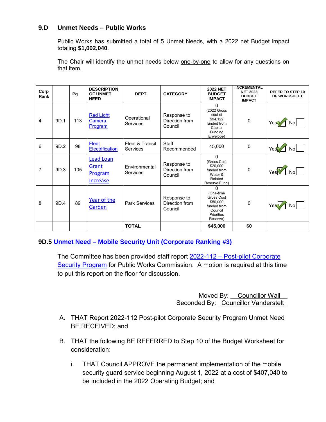### **9.D Unmet Needs – Public Works**

Public Works has submitted a total of 5 Unmet Needs, with a 2022 net Budget impact totaling **\$1,002,040**.

The Chair will identify the unmet needs below one-by-one to allow for any questions on that item.

| Corp<br>Rank   |      | Pg  | <b>DESCRIPTION</b><br><b>OF UNMET</b><br><b>NEED</b>           | DEPT.                       | <b>CATEGORY</b>                          | <b>2022 NET</b><br><b>BUDGET</b><br><b>IMPACT</b>                                                          | <b>INCREMENTAL</b><br><b>NET 2023</b><br><b>BUDGET</b><br><b>IMPACT</b> | <b>REFER TO STEP 10</b><br>OF WORKSHEET |
|----------------|------|-----|----------------------------------------------------------------|-----------------------------|------------------------------------------|------------------------------------------------------------------------------------------------------------|-------------------------------------------------------------------------|-----------------------------------------|
| $\overline{4}$ | 9D.1 | 113 | <b>Red Light</b><br>Camera<br>Program                          | Operational<br>Services     | Response to<br>Direction from<br>Council | $\Omega$<br>(2022 Gross<br>cost of<br>\$94.122<br>funded from<br>Capital<br>Funding<br>Envelope)           | $\mathbf 0$                                                             | No                                      |
| 6              | 9D.2 | 98  | Fleet<br><b>Electrification</b>                                | Fleet & Transit<br>Services | <b>Staff</b><br>Recommended              | 45,000                                                                                                     | 0                                                                       | Nol                                     |
| $\overline{7}$ | 9D.3 | 105 | <b>Lead Loan</b><br>Grant<br><b>Program</b><br><u>Increase</u> | Environmental<br>Services   | Response to<br>Direction from<br>Council | $\Omega$<br>(Gross Cost<br>\$20,000<br>funded from<br>Water &<br>Related<br>Reserve Fund)                  | $\mathbf 0$                                                             |                                         |
| 8              | 9D.4 | 89  | Year of the<br>Garden                                          | <b>Park Services</b>        | Response to<br>Direction from<br>Council | 0<br>(One-time<br><b>Gross Cost</b><br>\$50,000<br>funded from<br>Council<br><b>Priorities</b><br>Reserve) | 0                                                                       | Nο                                      |
|                |      |     |                                                                | <b>TOTAL</b>                |                                          | \$45,000                                                                                                   | \$0                                                                     |                                         |

### **9D.5 [Unmet Need – Mobile Security Unit \(Corporate Ranking #3\)](https://www.brantford.ca/en/your-government/resources/Documents/Budget/2022-PreliminaryOperatingBudget.pdf#page=94)**

The Committee has been provided staff report [2022-112 – Post-pilot Corporate](https://forms.brantford.ca/pdfs/2022Post-pilotCorporateSecurityProgramUnmet%20Need-2022-112.pdf)  [Security Program](https://forms.brantford.ca/pdfs/2022Post-pilotCorporateSecurityProgramUnmet%20Need-2022-112.pdf) for Public Works Commission. A motion is required at this time to put this report on the floor for discussion.

> Moved By: Councillor Wall Seconded By: Councillor Vanderstelt

- A. THAT Report 2022-112 Post-pilot Corporate Security Program Unmet Need BE RECEIVED; and
- B. THAT the following BE REFERRED to Step 10 of the Budget Worksheet for consideration:
	- i. THAT Council APPROVE the permanent implementation of the mobile security guard service beginning August 1, 2022 at a cost of \$407,040 to be included in the 2022 Operating Budget; and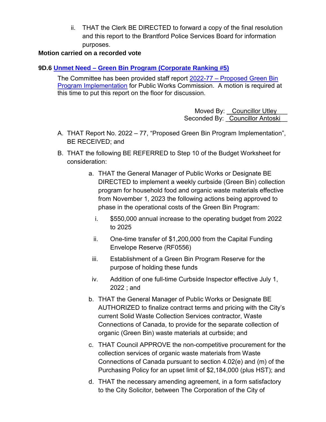ii. THAT the Clerk BE DIRECTED to forward a copy of the final resolution and this report to the Brantford Police Services Board for information purposes.

### **Motion carried on a recorded vote**

### **9D.6 [Unmet Need – Green Bin Program \(Corporate Ranking #5\)](https://www.brantford.ca/en/your-government/resources/Documents/Budget/2022-PreliminaryOperatingBudget.pdf#page=104)**

The Committee has been provided staff report 2022-77 – Proposed Green Bin [Program Implementation](https://forms.brantford.ca/pdfs/Proposed%20GreenBinProgramImplementation-2022-77.pdf) for Public Works Commission. A motion is required at this time to put this report on the floor for discussion.

> Moved By: Councillor Utley Seconded By: Councillor Antoski

- A. THAT Report No. 2022 77, "Proposed Green Bin Program Implementation", BE RECEIVED; and
- B. THAT the following BE REFERRED to Step 10 of the Budget Worksheet for consideration:
	- a. THAT the General Manager of Public Works or Designate BE DIRECTED to implement a weekly curbside (Green Bin) collection program for household food and organic waste materials effective from November 1, 2023 the following actions being approved to phase in the operational costs of the Green Bin Program:
		- i. \$550,000 annual increase to the operating budget from 2022 to 2025
		- ii. One-time transfer of \$1,200,000 from the Capital Funding Envelope Reserve (RF0556)
	- iii. Establishment of a Green Bin Program Reserve for the purpose of holding these funds
	- iv. Addition of one full-time Curbside Inspector effective July 1, 2022 ; and
	- b. THAT the General Manager of Public Works or Designate BE AUTHORIZED to finalize contract terms and pricing with the City's current Solid Waste Collection Services contractor, Waste Connections of Canada, to provide for the separate collection of organic (Green Bin) waste materials at curbside; and
	- c. THAT Council APPROVE the non-competitive procurement for the collection services of organic waste materials from Waste Connections of Canada pursuant to section 4.02(e) and (m) of the Purchasing Policy for an upset limit of \$2,184,000 (plus HST); and
	- d. THAT the necessary amending agreement, in a form satisfactory to the City Solicitor, between The Corporation of the City of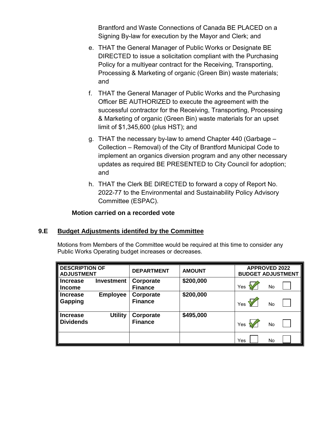Brantford and Waste Connections of Canada BE PLACED on a Signing By-law for execution by the Mayor and Clerk; and

- e. THAT the General Manager of Public Works or Designate BE DIRECTED to issue a solicitation compliant with the Purchasing Policy for a multiyear contract for the Receiving, Transporting, Processing & Marketing of organic (Green Bin) waste materials; and
- f. THAT the General Manager of Public Works and the Purchasing Officer BE AUTHORIZED to execute the agreement with the successful contractor for the Receiving, Transporting, Processing & Marketing of organic (Green Bin) waste materials for an upset limit of \$1,345,600 (plus HST); and
- g. THAT the necessary by-law to amend Chapter 440 (Garbage Collection – Removal) of the City of Brantford Municipal Code to implement an organics diversion program and any other necessary updates as required BE PRESENTED to City Council for adoption; and
- h. THAT the Clerk BE DIRECTED to forward a copy of Report No. 2022-77 to the Environmental and Sustainability Policy Advisory Committee (ESPAC).

### **Motion carried on a recorded vote**

### **9.E Budget Adjustments identifed by the Committee**

Motions from Members of the Committee would be required at this time to consider any Public Works Operating budget increases or decreases.

| <b>DESCRIPTION OF</b><br><b>ADJUSTMENT</b> |                   | <b>DEPARTMENT</b>           | <b>AMOUNT</b> | <b>APPROVED 2022</b><br><b>BUDGET ADJUSTMENT</b> |    |  |
|--------------------------------------------|-------------------|-----------------------------|---------------|--------------------------------------------------|----|--|
| l Increase<br>∥Income                      | <b>Investment</b> | Corporate<br><b>Finance</b> | \$200,000     | Yes                                              | No |  |
| I Increase<br>Gapping                      | <b>Employee</b>   | Corporate<br><b>Finance</b> | \$200,000     | Yes                                              | No |  |
| <b>Increase</b><br><b>Dividends</b>        | <b>Utility</b>    | Corporate<br><b>Finance</b> | \$495,000     | Yes                                              | No |  |
|                                            |                   |                             |               | Yes                                              | No |  |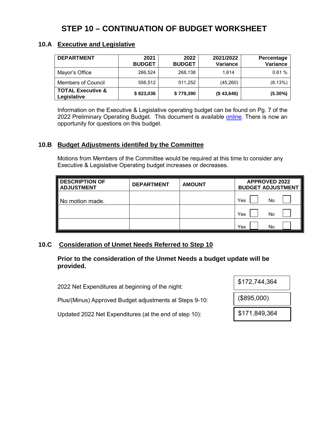### **STEP 10 – CONTINUATION OF BUDGET WORKSHEET**

### **10.A Executive and Legislative**

| <b>DEPARTMENT</b>                           | 2021<br><b>BUDGET</b> | 2022<br><b>BUDGET</b> | 2021/2022<br>Variance | Percentage<br>Variance |
|---------------------------------------------|-----------------------|-----------------------|-----------------------|------------------------|
| Mayor's Office                              | 266,524               | 268,138               | 1.614                 | 0.61%                  |
| <b>Members of Council</b>                   | 556,512               | 511,252               | (45, 260)             | (8.13%)                |
| <b>TOTAL Executive &amp;</b><br>Legislative | \$823,036             | \$779,390             | (\$43,646)            | $(5.30\%)$             |

Information on the Executive & Legislative operating budget can be found on Pg. 7 of the 2022 Preliminary Operating Budget. This document is available [online.](https://www.brantford.ca/en/your-government/resources/Documents/Budget/2022-PreliminaryOperatingBudget.pdf#page=7) There is now an opportunity for questions on this budget.

### **10.B Budget Adjustments identifed by the Committee**

Motions from Members of the Committee would be required at this time to consider any Executive & Legislative Operating budget increases or decreases.

| <b>DESCRIPTION OF</b><br><b>ADJUSTMENT</b> | <b>DEPARTMENT</b> | <b>AMOUNT</b> | <b>APPROVED 2022</b><br><b>BUDGET ADJUSTMENT</b> |
|--------------------------------------------|-------------------|---------------|--------------------------------------------------|
| No motion made.                            |                   |               | Yes<br>No                                        |
|                                            |                   |               | Yes<br>No                                        |
|                                            |                   |               | Yes<br>No                                        |

### **10.C Consideration of Unmet Needs Referred to Step 10**

**Prior to the consideration of the Unmet Needs a budget update will be provided.**

2022 Net Expenditures at beginning of the night:

Plus/(Minus) Approved Budget adjustments at Steps 9-10:

Updated 2022 Net Expenditures (at the end of step 10):

| \$172,744,364 |  |
|---------------|--|
| (\$895,000)   |  |
| \$171,849,364 |  |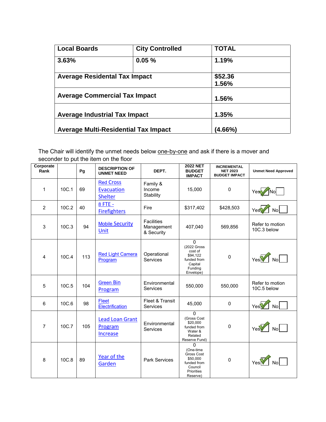| <b>Local Boards</b>                         | <b>City Controlled</b> | <b>TOTAL</b> |  |
|---------------------------------------------|------------------------|--------------|--|
| 3.63%                                       | 0.05%                  | 1.19%        |  |
| <b>Average Residental Tax Impact</b>        |                        | \$52.36      |  |
|                                             |                        | 1.56%        |  |
| <b>Average Commercial Tax Impact</b>        |                        | 1.56%        |  |
| <b>Average Industrial Tax Impact</b>        |                        | 1.35%        |  |
| <b>Average Multi-Residential Tax Impact</b> |                        | $(4.66\%)$   |  |

The Chair will identify the unmet needs below one-by-one and ask if there is a mover and seconder to put the item on the floor

| Corporate<br>Rank |       | Pg  | <b>DESCRIPTION OF</b><br><b>UNMET NEED</b>              | DEPT.                                         | <b>2022 NET</b><br><b>BUDGET</b><br><b>IMPACT</b>                                                          | <b>INCREMENTAL</b><br><b>NET 2023</b><br><b>BUDGET IMPACT</b> | <b>Unmet Need Approved</b>     |
|-------------------|-------|-----|---------------------------------------------------------|-----------------------------------------------|------------------------------------------------------------------------------------------------------------|---------------------------------------------------------------|--------------------------------|
| $\mathbf 1$       | 10C.1 | 69  | <b>Red Cross</b><br><b>Evacuation</b><br><b>Shelter</b> | Family &<br>Income<br>Stability               | 15,000                                                                                                     | $\Omega$                                                      | Nol                            |
| 2                 | 10C.2 | 40  | 8 FTE -<br><b>Firefighters</b>                          | Fire                                          | \$317,402                                                                                                  | \$428,503                                                     | No<br>Yes                      |
| 3                 | 10C.3 | 94  | <b>Mobile Security</b><br>Unit                          | <b>Facilities</b><br>Management<br>& Security | 407,040                                                                                                    | 569,856                                                       | Refer to motion<br>10C.3 below |
| 4                 | 10C.4 | 113 | <b>Red Light Camera</b><br>Program                      | Operational<br><b>Services</b>                | 0<br>(2022 Gross<br>cost of<br>\$94.122<br>funded from<br>Capital<br>Funding<br>Envelope)                  | $\Omega$                                                      | $YesV \wedge No$               |
| 5                 | 10C.5 | 104 | <b>Green Bin</b><br>Program                             | Environmental<br><b>Services</b>              | 550,000                                                                                                    | 550,000                                                       | Refer to motion<br>10C.5 below |
| 6                 | 10C.6 | 98  | Fleet<br>Electrification                                | Fleet & Transit<br><b>Services</b>            | 45,000                                                                                                     | $\mathbf 0$                                                   | Yes<br>No <sub>l</sub>         |
| $\overline{7}$    | 10C.7 | 105 | <b>Lead Loan Grant</b><br>Program<br><b>Increase</b>    | Environmental<br><b>Services</b>              | $\mathbf 0$<br>(Gross Cost<br>\$20,000<br>funded from<br>Water &<br>Related<br>Reserve Fund)               | $\Omega$                                                      | Yes                            |
| 8                 | 10C.8 | 89  | Year of the<br>Garden                                   | <b>Park Services</b>                          | $\Omega$<br>(One-time<br>Gross Cost<br>\$50.000<br>funded from<br>Council<br><b>Priorities</b><br>Reserve) | $\Omega$                                                      |                                |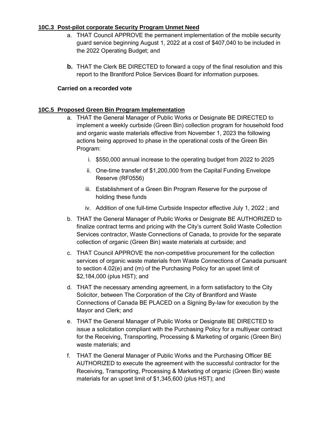#### **10C.3 Post-pilot corporate Security Program Unmet Need**

- a. THAT Council APPROVE the permanent implementation of the mobile security guard service beginning August 1, 2022 at a cost of \$407,040 to be included in the 2022 Operating Budget; and
- **b.** THAT the Clerk BE DIRECTED to forward a copy of the final resolution and this report to the Brantford Police Services Board for information purposes.

#### **Carried on a recorded vote**

#### **10C.5 Proposed Green Bin Program Implementation**

- a. THAT the General Manager of Public Works or Designate BE DIRECTED to implement a weekly curbside (Green Bin) collection program for household food and organic waste materials effective from November 1, 2023 the following actions being approved to phase in the operational costs of the Green Bin Program:
	- i. \$550,000 annual increase to the operating budget from 2022 to 2025
	- ii. One-time transfer of \$1,200,000 from the Capital Funding Envelope Reserve (RF0556)
	- iii. Establishment of a Green Bin Program Reserve for the purpose of holding these funds
	- iv. Addition of one full-time Curbside Inspector effective July 1, 2022 ; and
- b. THAT the General Manager of Public Works or Designate BE AUTHORIZED to finalize contract terms and pricing with the City's current Solid Waste Collection Services contractor, Waste Connections of Canada, to provide for the separate collection of organic (Green Bin) waste materials at curbside; and
- c. THAT Council APPROVE the non-competitive procurement for the collection services of organic waste materials from Waste Connections of Canada pursuant to section 4.02(e) and (m) of the Purchasing Policy for an upset limit of \$2,184,000 (plus HST); and
- d. THAT the necessary amending agreement, in a form satisfactory to the City Solicitor, between The Corporation of the City of Brantford and Waste Connections of Canada BE PLACED on a Signing By-law for execution by the Mayor and Clerk; and
- e. THAT the General Manager of Public Works or Designate BE DIRECTED to issue a solicitation compliant with the Purchasing Policy for a multiyear contract for the Receiving, Transporting, Processing & Marketing of organic (Green Bin) waste materials; and
- f. THAT the General Manager of Public Works and the Purchasing Officer BE AUTHORIZED to execute the agreement with the successful contractor for the Receiving, Transporting, Processing & Marketing of organic (Green Bin) waste materials for an upset limit of \$1,345,600 (plus HST); and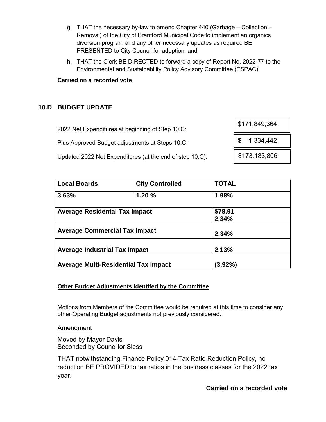- g. THAT the necessary by-law to amend Chapter 440 (Garbage Collection Removal) of the City of Brantford Municipal Code to implement an organics diversion program and any other necessary updates as required BE PRESENTED to City Council for adoption; and
- h. THAT the Clerk BE DIRECTED to forward a copy of Report No. 2022-77 to the Environmental and Sustainability Policy Advisory Committee (ESPAC).

#### **Carried on a recorded vote**

### **10.D BUDGET UPDATE**

| 2022 Net Expenditures at beginning of Step 10.C:         | 0.11,049,004                |
|----------------------------------------------------------|-----------------------------|
| Plus Approved Budget adjustments at Steps 10.C:          | $\downarrow$ \$ 1,334,442   |
| Updated 2022 Net Expenditures (at the end of step 10.C): | $\frac{1}{2}$ \$173,183,806 |

| <b>Local Boards</b>                         | <b>City Controlled</b> | <b>TOTAL</b> |  |
|---------------------------------------------|------------------------|--------------|--|
| 3.63%                                       | 1.20%                  | 1.98%        |  |
| <b>Average Residental Tax Impact</b>        |                        | \$78.91      |  |
|                                             |                        | 2.34%        |  |
| <b>Average Commercial Tax Impact</b>        |                        | 2.34%        |  |
| <b>Average Industrial Tax Impact</b>        |                        | 2.13%        |  |
| <b>Average Multi-Residential Tax Impact</b> |                        | (3.92%)      |  |

### **Other Budget Adjustments identifed by the Committee**

Motions from Members of the Committee would be required at this time to consider any other Operating Budget adjustments not previously considered.

**Amendment** 

Moved by Mayor Davis Seconded by Councillor Sless

THAT notwithstanding Finance Policy 014-Tax Ratio Reduction Policy, no reduction BE PROVIDED to tax ratios in the business classes for the 2022 tax year.

 $\overline{0174,040,364}$